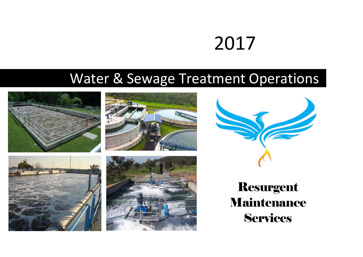# 2017

# Water & Sewage Treatment Operations







Resurgent Maintenance Services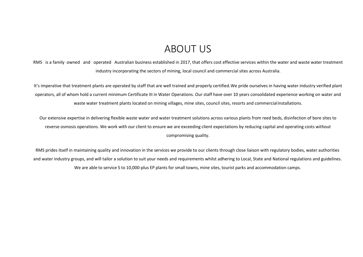## ABOUT US

RMS is a family owned and operated Australian business established in 2017, that offers cost effective services within the water and waste water treatment industry incorporating the sectors of mining, local council and commercial sites across Australia.

It's imperative that treatment plants are operated by staff that are well trained and properly certified.We pride ourselves in having water industry verified plant operators, all of whom hold a current minimum Certificate III in Water Operations. Our staff have over 10 years consolidated experience working on water and waste water treatment plants located on mining villages, mine sites, council sites, resorts and commercialinstallations.

Our extensive expertise in delivering flexible waste water and water treatment solutions across various plants from reed beds, disinfection of bore sites to reverse osmosis operations. We work with our client to ensure we are exceeding client expectations by reducing capital and operating costs without compromising quality.

RMS prides itself in maintaining quality and innovation in the services we provide to our clients through close liaison with regulatory bodies, water authorities and water industry groups, and will tailor a solution to suit your needs and requirements whilst adhering to Local, State and National regulations and guidelines. We are able to service 5 to 10,000-plus EP plants for small towns, mine sites, tourist parks and accommodation camps.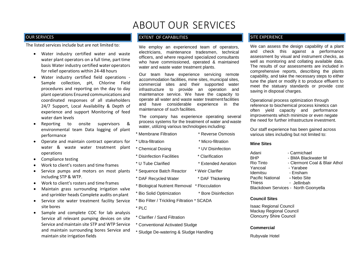# ABOUT OUR SERVICES

The listed services include but are not limited to:

- Water industry certified water and waste water plant operators on a full time, part time basis Water industry certified water operators for relief operations within 24-48 hours
- Water industry certified field operations Sample collection, pH, Chlorine Field procedures and reporting on the day to day plant operations Ensured communications and coordinated responses of all stakeholders 24/7 Support, Local Availability & Depth of experience and support Monitoring of feed water dam levels
- Reporting to onsite supervisors & environmental team Data logging of plant performance
- Operate and maintain contract operators for water & waste water treatment plant operations
- Compliance testing
- Work to client's rosters and time frames
- Service pumps and motors on most plants including STP & WTP.
- Work to client's rosters and time frames
- Maintain grass surrounding irrigation valve and sprinkler heads Complete audits on plant
- Service site water treatment facility Service site bores
- Sample and complete COC for lab analysis Service all relevant pumping devices on site Service and maintain site STP and WTP Service and maintain surrounding bores Service and maintain site irrigation fields

### OUR SERVICES EXPERIENCE EXPERIENCE EXTENT OF CAPABILITIES EXPERIENCE EXPERIENCE

We employ an experienced team of operators, electricians, maintenance tradesmen, technical officers, and where required specialized consultants who have commissioned, operated & maintained water and waste water treatment plants.

Our team have experience servicing remote accommodation facilities, mine sites, municipal sites, commercial sites and their supported water infrastructure to provide an operation and maintenance service. We have the capacity to operate all water and waste water treatmentfacilities and have considerable experience in the maintenance of such facilities.

The company has experience operating several process systems for the treatment of water and waste water, utilizing various technologies including:

### Membrane Filtration \* Reverse Osmosis

- Ultra-filtration \* Micro-filtration
- Chemical Dosing \* UV Disinfection
- Disinfection Facilities \* Clarification
- U Tube Clarified \* Extended Aeration
- Sequence Batch Reactor \* Weir Clarifier
- DAF Recycled Water \* DAF Thickening
- Biological Nutrient Removal \* Flocculation
- Bio Solid Optimization \* Bore Disinfection
- Bio Filter / Trickling Filtration \* SCADA
- PLC
- Clarifier / Sand Filtration
- Conventional Activated Sludge
- Sludge De-watering & Sludge Handling

We can assess the design capability of a plant and check this against a performance assessment by visual and instrument checks, as well as monitoring and collating available data. The results of our assessments are included in comprehensive reports, describing the plants capability, and take the necessary steps to either tune the plant or modify it to produce effluent to meet the statuary standards or provide cost saving in disposal charges.

Operational process optimization through reference to biochemical process kinetics can often yield capacity and performance improvements which minimize or even negate the need for further infrastructure investment.

Our staff experience has been gained across various sites including but not limited to:

#### **Mine Sites**

Adani - Carmichael BHP - BMA Blackwater M Rio Tinto - Clermont Coal & Blair Athol Yancoal - Yarabee Idemitsu - Ensham Pacific National **-** Nebo Site

- 
- Blackdown Services North Goonyella

#### **Council Sites**

Isaac Regional Council Mackay Regional Council Cloncurry Shire Council

#### **Commercial**

Rubyvale Hotel

- 
- Thiess Jellinbah
-